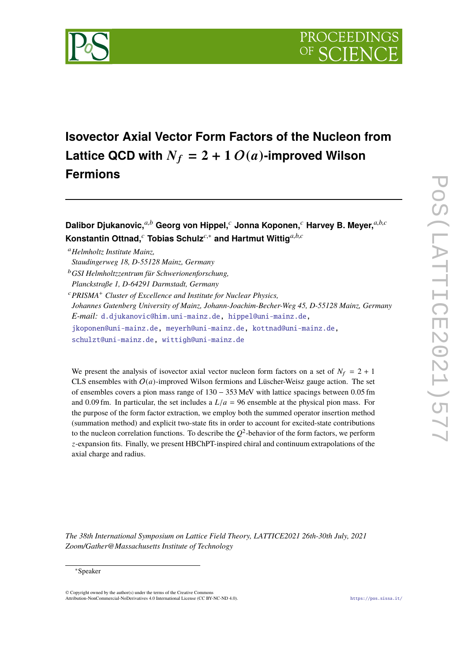

**Isovector Axial Vector Form Factors of the Nucleon from** Lattice QCD with  $N_f = 2 + 1 O(a)$ -improved Wilson **Fermions**

**Dalibor Djukanovic,***a*,*<sup>b</sup>* **Georg von Hippel,***<sup>c</sup>* **Jonna Koponen,***<sup>c</sup>* **Harvey B. Meyer,***a*,*b*,*<sup>c</sup>* **Konstantin Ottnad,***<sup>c</sup>* **Tobias Schulz***c*,<sup>∗</sup> **and Hartmut Wittig***a*,*b*,*<sup>c</sup>*

<sup>a</sup>*Helmholtz Institute Mainz,*

- *Staudingerweg 18, D-55128 Mainz, Germany*
- <sup>b</sup>*GSI Helmholtzzentrum für Schwerionenforschung,*

*Planckstraße 1, D-64291 Darmstadt, Germany*

<sup>c</sup>*PRISMA*<sup>+</sup> *Cluster of Excellence and Institute for Nuclear Physics,*

*Johannes Gutenberg University of Mainz, Johann-Joachim-Becher-Weg 45, D-55128 Mainz, Germany E-mail:* [d.djukanovic@him.uni-mainz.de,](mailto:d.djukanovic@him.uni-mainz.de) [hippel@uni-mainz.de,](mailto:hippel@uni-mainz.de) [jkoponen@uni-mainz.de,](mailto:jkoponen@uni-mainz.de) [meyerh@uni-mainz.de,](mailto:meyerh@uni-mainz.de) [kottnad@uni-mainz.de,](mailto:kottnad@uni-mainz.de)

[schulzt@uni-mainz.de,](mailto:schulzt@uni-mainz.de) [wittigh@uni-mainz.de](mailto:wittigh@uni-mainz.de)

We present the analysis of isovector axial vector nucleon form factors on a set of  $N_f = 2 + 1$ CLS ensembles with  $O(a)$ -improved Wilson fermions and Lüscher-Weisz gauge action. The set of ensembles covers a pion mass range of <sup>130</sup> <sup>−</sup> <sup>353</sup> MeV with lattice spacings between <sup>0</sup>.<sup>05</sup> fm and 0.09 fm. In particular, the set includes a  $L/a = 96$  ensemble at the physical pion mass. For the purpose of the form factor extraction, we employ both the summed operator insertion method (summation method) and explicit two-state fits in order to account for excited-state contributions to the nucleon correlation functions. To describe the  $Q^2$ -behavior of the form factors, we perform *z*-expansion fits. Finally, we present HBChPT-inspired chiral and continuum extrapolations of the axial charge and radius.

*The 38th International Symposium on Lattice Field Theory, LATTICE2021 26th-30th July, 2021 Zoom/Gather@Massachusetts Institute of Technology*

<sup>∗</sup>Speaker

<sup>©</sup> Copyright owned by the author(s) under the terms of the Creative Commons Attribution-NonCommercial-NoDerivatives 4.0 International License (CC BY-NC-ND 4.0). <https://pos.sissa.it/>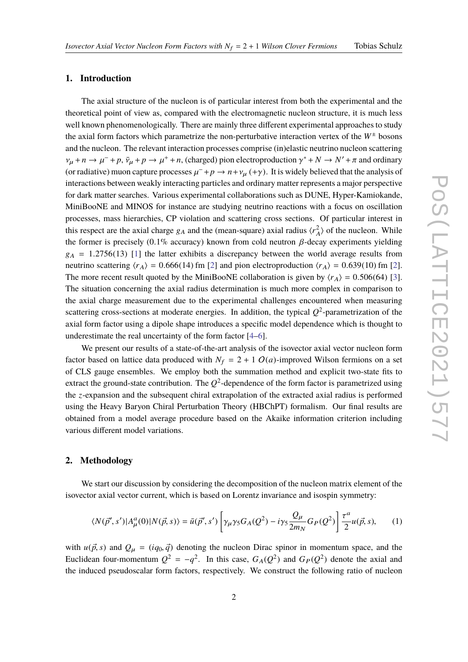### **1. Introduction**

The axial structure of the nucleon is of particular interest from both the experimental and the theoretical point of view as, compared with the electromagnetic nucleon structure, it is much less well known phenomenologically. There are mainly three different experimental approaches to study the axial form factors which parametrize the non-perturbative interaction vertex of the  $W^{\pm}$  bosons and the nucleon. The relevant interaction processes comprise (in)elastic neutrino nucleon scattering  $v_{\mu} + n \rightarrow \mu^- + p$ ,  $\bar{v}_{\mu} + p \rightarrow \mu^+ + n$ , (charged) pion electroproduction  $\gamma^* + N \rightarrow N' + \pi$  and ordinary (or radiative) muon capture processes  $\mu^- + p \to n + \nu_\mu$  (+ $\gamma$ ). It is widely believed that the analysis of interesting between wealth interesting pertialse and ending methods are processed a major perceptive interactions between weakly interacting particles and ordinary matter represents a major perspective for dark matter searches. Various experimental collaborations such as DUNE, Hyper-Kamiokande, MiniBooNE and MINOS for instance are studying neutrino reactions with a focus on oscillation processes, mass hierarchies, CP violation and scattering cross sections. Of particular interest in this respect are the axial charge  $g_A$  and the (mean-square) axial radius  $\langle r_A^2 \rangle$  $\binom{2}{A}$  of the nucleon. While the former is precisely (0.1% accuracy) known from cold neutron  $β$ -decay experiments yielding  $g_A$  = 1.2756(13) [\[1\]](#page-7-0) the latter exhibits a discrepancy between the world average results from neutrino scattering  $\langle r_A \rangle$  = 0.666(14) fm [\[2\]](#page-7-1) and pion electroproduction  $\langle r_A \rangle$  = 0.639(10) fm [2]. The more recent result quoted by the MiniBooNE collaboration is given by  $\langle r_A \rangle = 0.506(64)$  [\[3\]](#page-8-0). The situation concerning the axial radius determination is much more complex in comparison to the axial charge measurement due to the experimental challenges encountered when measuring scattering cross-sections at moderate energies. In addition, the typical  $Q^2$ -parametrization of the axial form factor using a dipole shape introduces a specific model dependence which is thought to underestimate the real uncertainty of the form factor [\[4](#page-8-1)[–6\]](#page-8-2).

We present our results of a state-of-the-art analysis of the isovector axial vector nucleon form factor based on lattice data produced with  $N_f = 2 + 1$   $O(a)$ -improved Wilson fermions on a set of CLS gauge ensembles. We employ both the summation method and explicit two-state fits to extract the ground-state contribution. The  $Q^2$ -dependence of the form factor is parametrized using the *z*-expansion and the subsequent chiral extrapolation of the extracted axial radius is performed using the Heavy Baryon Chiral Perturbation Theory (HBChPT) formalism. Our final results are obtained from a model average procedure based on the Akaike information criterion including various different model variations.

### **2. Methodology**

We start our discussion by considering the decomposition of the nucleon matrix element of the isovector axial vector current, which is based on Lorentz invariance and isospin symmetry:

$$
\langle N(\vec{p}',s')|A^a_\mu(0)|N(\vec{p},s)\rangle = \bar{u}(\vec{p}',s')\left[\gamma_\mu\gamma_5 G_A(Q^2) - i\gamma_5 \frac{Q_\mu}{2m_N} G_P(Q^2)\right] \frac{\tau^a}{2} u(\vec{p},s),\tag{1}
$$

with  $u(\vec{p}, s)$  and  $Q_{\mu} = (iq_0, \vec{q})$  denoting the nucleon Dirac spinor in momentum space, and the Euclidean four-momentum  $Q^2 = -q^2$ . In this case,  $G_A(Q^2)$  and  $G_P(Q^2)$  denote the axial and the induced pseudoscalar form factors, respectively. We construct the following ratio of nucleon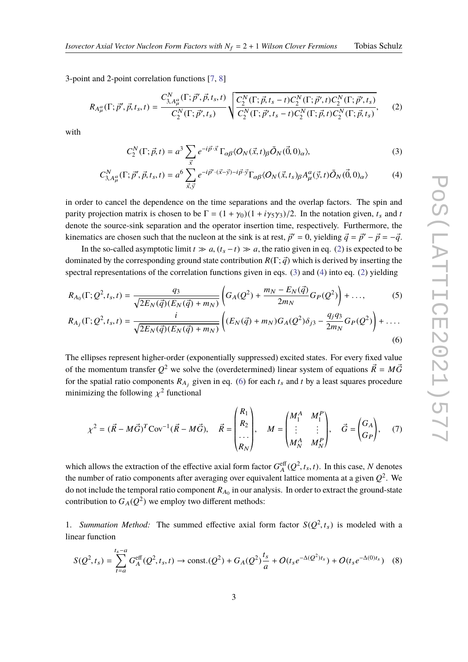### *Isovector Axial Vector Nucleon Form Factors with*  $N_f = 2 + 1$  *Wilson Clover Fermions* Tobias Schulz

3-point and 2-point correlation functions [\[7,](#page-8-3) [8\]](#page-8-4)

$$
R_{A_{\mu}^{a}}(\Gamma;\vec{p}',\vec{p},t_{s},t) = \frac{C_{3,A_{\mu}^{a}}^{N}(\Gamma;\vec{p}',\vec{p},t_{s},t)}{C_{2}^{N}(\Gamma;\vec{p}',t_{s})} \sqrt{\frac{C_{2}^{N}(\Gamma;\vec{p},t_{s}-t)C_{2}^{N}(\Gamma;\vec{p}',t)C_{2}^{N}(\Gamma;\vec{p}',t_{s})}{C_{2}^{N}(\Gamma;\vec{p}',t_{s}-t)C_{2}^{N}(\Gamma;\vec{p},t)C_{2}^{N}(\Gamma;\vec{p},t_{s})}},
$$
(2)

with

<span id="page-2-2"></span><span id="page-2-1"></span><span id="page-2-0"></span>
$$
C_2^N(\Gamma; \vec{p}, t) = a^3 \sum_{\vec{x}} e^{-i\vec{p}\cdot\vec{x}} \Gamma_{\alpha\beta} \langle O_N(\vec{x}, t)_{\beta} \bar{O}_N(\vec{0}, 0)_{\alpha} \rangle, \tag{3}
$$

$$
C_{3,A_{\mu}^{a}}^{N}(\Gamma;\vec{p}',\vec{p},t_{s},t) = a^{6} \sum_{\vec{x},\vec{y}} e^{-i\vec{p}'\cdot(\vec{x}-\vec{y})-i\vec{p}\cdot\vec{y}} \Gamma_{\alpha\beta} \langle O_{N}(\vec{x},t_{s})_{\beta} A_{\mu}^{a}(\vec{y},t) \bar{O}_{N}(\vec{0},0)_{\alpha} \rangle
$$
(4)

in order to cancel the dependence on the time separations and the overlap factors. The spin and parity projection matrix is chosen to be  $\Gamma = (1 + \gamma_0)(1 + i\gamma_5\gamma_3)/2$ . In the notation given,  $t_s$  and  $t$ denote the source-sink separation and the operator insertion time, respectively. Furthermore, the kinematics are chosen such that the nucleon at the sink is at rest,  $\vec{p}' = 0$ , yielding  $\vec{q} = \vec{p}' - \vec{p} = -\vec{q}$ .

In the so-called asymptotic limit  $t \gg a$ ,  $(t_s - t) \gg a$ , the ratio given in eq. [\(2\)](#page-2-0) is expected to be dominated by the corresponding ground state contribution  $R(\Gamma;\vec{q})$  which is derived by inserting the spectral representations of the correlation functions given in eqs. [\(3\)](#page-2-1) and [\(4\)](#page-2-2) into eq. [\(2\)](#page-2-0) yielding

$$
R_{A_0}(\Gamma; Q^2, t_s, t) = \frac{q_3}{\sqrt{2E_N(\vec{q})(E_N(\vec{q}) + m_N)}} \left( G_A(Q^2) + \frac{m_N - E_N(\vec{q})}{2m_N} G_P(Q^2) \right) + \dots, \tag{5}
$$
  

$$
R_{A_j}(\Gamma; Q^2, t_s, t) = \frac{i}{\sqrt{2E_N(\vec{q})(E_N(\vec{q}) + m_N)}} \left( (E_N(\vec{q}) + m_N) G_A(Q^2) \delta_{j3} - \frac{q_j q_3}{2m_N} G_P(Q^2) \right) + \dots
$$
  

$$
(6)
$$

The ellipses represent higher-order (exponentially suppressed) excited states. For every fixed value of the momentum transfer  $Q^2$  we solve the (overdetermined) linear system of equations  $\vec{R} = M\vec{G}$ for the spatial ratio components  $R_{A_j}$  given in eq. [\(6\)](#page-2-3) for each  $t_s$  and  $t$  by a least squares procedure minimizing the following  $\chi^2$  functional

<span id="page-2-3"></span>
$$
\chi^2 = (\vec{R} - M\vec{G})^T \text{Cov}^{-1} (\vec{R} - M\vec{G}), \quad \vec{R} = \begin{pmatrix} R_1 \\ R_2 \\ \cdots \\ R_N \end{pmatrix}, \quad M = \begin{pmatrix} M_1^A & M_1^P \\ \vdots & \vdots \\ M_N^A & M_N^P \end{pmatrix}, \quad \vec{G} = \begin{pmatrix} G_A \\ G_P \end{pmatrix}, \quad (7)
$$

which allows the extraction of the effective axial form factor  $G_A^{\text{eff}}$  $A_A^{\text{eff}}(Q^2, t_s, t)$ . In this case, *N* denotes the number of ratio components after averaging over equivalent lattice momenta at a given  $Q^2$ . We do not include the temporal ratio component  $R_{A_0}$  in our analysis. In order to extract the ground-state contribution to  $G_A(Q^2)$  we employ two different methods:

1. *Summation Method:* The summed effective axial form factor  $S(Q^2, t_s)$  is modeled with a linear function. linear function

$$
S(Q^2, t_s) = \sum_{t=a}^{t_s-a} G_A^{\text{eff}}(Q^2, t_s, t) \to \text{const.}(Q^2) + G_A(Q^2)\frac{t_s}{a} + O(t_s e^{-\Delta(Q^2)t_s}) + O(t_s e^{-\Delta(0)t_s})
$$
 (8)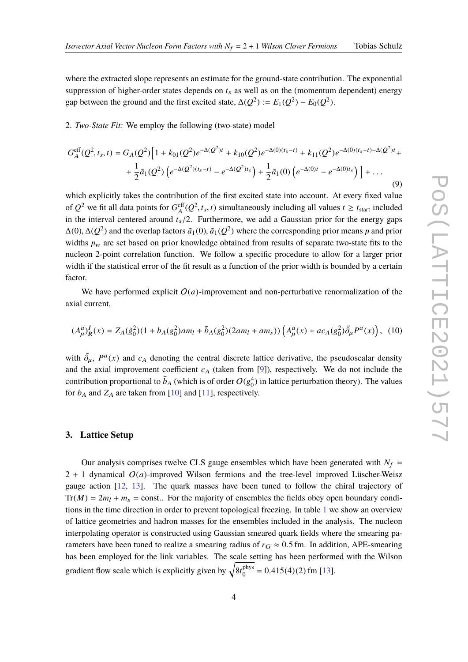where the extracted slope represents an estimate for the ground-state contribution. The exponential suppression of higher-order states depends on  $t_s$  as well as on the (momentum dependent) energy gap between the ground and the first excited state,  $\Delta(Q^2) := E_1(Q^2) - E_0(Q^2)$ .

2. *Two-State Fit:* We employ the following (two-state) model

$$
G_A^{\text{eff}}(Q^2, t_s, t) = G_A(Q^2) \Big[ 1 + k_{01}(Q^2) e^{-\Delta(Q^2)t} + k_{10}(Q^2) e^{-\Delta(0)(t_s - t)} + k_{11}(Q^2) e^{-\Delta(0)(t_s - t) - \Delta(Q^2)t} + \frac{1}{2} \tilde{a}_1(Q^2) \left( e^{-\Delta(Q^2)(t_s - t)} - e^{-\Delta(Q^2)t_s} \right) + \frac{1}{2} \tilde{a}_1(0) \left( e^{-\Delta(0)t} - e^{-\Delta(0)t_s} \right) \Big] + \dots \tag{9}
$$

which explicitly takes the contribution of the first excited state into account. At every fixed value of  $Q^2$  we fit all data points for  $G_4^{\text{eff}}$  $\sum_{A}^{eff}(Q^2, t_s, t)$  simultaneously including all values  $t \ge t_{\text{start}}$  included in the interval centered around  $t_s/2$ . Furthermore, we add a Gaussian prior for the energy gaps  $\Delta(0)$ ,  $\Delta(Q^2)$  and the overlap factors  $\tilde{a}_1(0)$ ,  $\tilde{a}_1(Q^2)$  where the corresponding prior means *p* and prior widths *n* are set based on prior linear later of some means *p* and the that is the widths  $p_w$  are set based on prior knowledge obtained from results of separate two-state fits to the nucleon 2-point correlation function. We follow a specific procedure to allow for a larger prior width if the statistical error of the fit result as a function of the prior width is bounded by a certain factor.

We have performed explicit  $O(a)$ -improvement and non-perturbative renormalization of the axial current,

$$
(A^a_\mu)^I_R(x) = Z_A(\tilde{g}_0^2)(1 + b_A(g_0^2)am_l + \bar{b}_A(g_0^2)(2am_l + am_s))\left(A^a_\mu(x) + ac_A(g_0^2)\tilde{\partial}_\mu P^a(x)\right), \tag{10}
$$

with  $\tilde{\partial}_{\mu}$ ,  $P^a(x)$  and  $c_A$  denoting the central discrete lattice derivative, the pseudoscalar density and the axial improvement coefficient  $c_A$  (taken from [\[9\]](#page-8-5)), respectively. We do not include the contribution proportional to  $\bar{b}_A$  (which is of order  $O(g_0^4)$  in lattice perturbation theory). The values for  $b_A$  and  $Z_A$  are taken from [\[10\]](#page-8-6) and [\[11\]](#page-8-7), respectively.

## **3. Lattice Setup**

Our analysis comprises twelve CLS gauge ensembles which have been generated with  $N_f$  =  $2 + 1$  dynamical  $O(a)$ -improved Wilson fermions and the tree-level improved Lüscher-Weisz gauge action [\[12,](#page-8-8) [13\]](#page-8-9). The quark masses have been tuned to follow the chiral trajectory of  $Tr(M) = 2m_l + m_s$  = const... For the majority of ensembles the fields obey open boundary conditions in the time direction in order to prevent topological freezing. In table [1](#page-4-0) we show an overview of lattice geometries and hadron masses for the ensembles included in the analysis. The nucleon interpolating operator is constructed using Gaussian smeared quark fields where the smearing parameters have been tuned to realize a smearing radius of  $r<sub>G</sub> \approx 0.5$  fm. In addition, APE-smearing has been employed for the link variables. The scale setting has been performed with the Wilson gradient flow scale which is explicitly given by  $\sqrt{8t_0^{\text{phys}}}$  $_{0}^{\text{phys}}$  = 0.415(4)(2) fm [\[13\]](#page-8-9).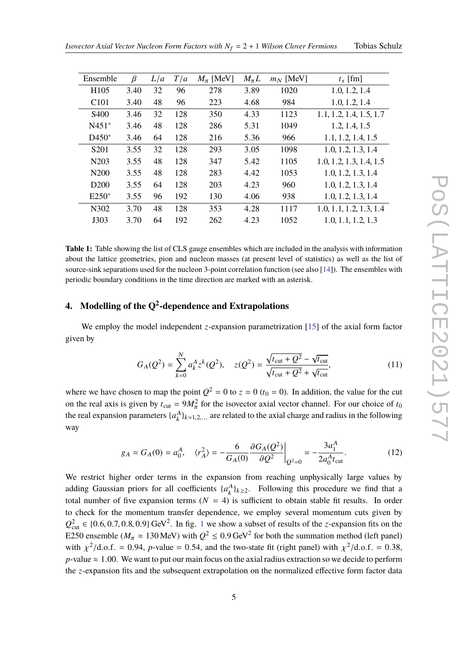<span id="page-4-0"></span>

| Ensemble          | β    | L/a | T/a | $M_{\pi}$ [MeV] | $M_{\pi}L$ | $m_N$ [MeV] | $t_s$ [fm]              |
|-------------------|------|-----|-----|-----------------|------------|-------------|-------------------------|
| H <sub>105</sub>  | 3.40 | 32  | 96  | 278             | 3.89       | 1020        | 1.0, 1.2, 1.4           |
| C <sub>101</sub>  | 3.40 | 48  | 96  | 223             | 4.68       | 984         | 1.0, 1.2, 1.4           |
| <b>S400</b>       | 3.46 | 32  | 128 | 350             | 4.33       | 1123        | 1.1, 1.2, 1.4, 1.5, 1.7 |
| $N451*$           | 3.46 | 48  | 128 | 286             | 5.31       | 1049        | 1.2, 1.4, 1.5           |
| $D450*$           | 3.46 | 64  | 128 | 216             | 5.36       | 966         | 1.1, 1.2, 1.4, 1.5      |
| S <sub>201</sub>  | 3.55 | 32  | 128 | 293             | 3.05       | 1098        | 1.0, 1.2, 1.3, 1.4      |
| N <sub>20</sub> 3 | 3.55 | 48  | 128 | 347             | 5.42       | 1105        | 1.0, 1.2, 1.3, 1.4, 1.5 |
| N <sub>200</sub>  | 3.55 | 48  | 128 | 283             | 4.42       | 1053        | 1.0, 1.2, 1.3, 1.4      |
| D <sub>200</sub>  | 3.55 | 64  | 128 | 203             | 4.23       | 960         | 1.0, 1.2, 1.3, 1.4      |
| $E250*$           | 3.55 | 96  | 192 | 130             | 4.06       | 938         | 1.0, 1.2, 1.3, 1.4      |
| N302              | 3.70 | 48  | 128 | 353             | 4.28       | 1117        | 1.0, 1.1, 1.2, 1.3, 1.4 |
| J303              | 3.70 | 64  | 192 | 262             | 4.23       | 1052        | 1.0, 1.1, 1.2, 1.3      |
|                   |      |     |     |                 |            |             |                         |

**Table 1:** Table showing the list of CLS gauge ensembles which are included in the analysis with information about the lattice geometries, pion and nucleon masses (at present level of statistics) as well as the list of source-sink separations used for the nucleon 3-point correlation function (see also [\[14\]](#page-8-10)). The ensembles with periodic boundary conditions in the time direction are marked with an asterisk.

# **4. Modelling of the Q<sup>2</sup> -dependence and Extrapolations**

We employ the model independent *z*-expansion parametrization [\[15\]](#page-8-11) of the axial form factor given by

$$
G_A(Q^2) = \sum_{k=0}^{N} a_k^A z^k (Q^2), \quad z(Q^2) = \frac{\sqrt{t_{\text{cut}} + Q^2} - \sqrt{t_{\text{cut}}}}{\sqrt{t_{\text{cut}} + Q^2} + \sqrt{t_{\text{cut}}}},
$$
(11)

where we have chosen to map the point  $Q^2 = 0$  to  $z = 0$  ( $t_0 = 0$ ). In addition, the value for the cut on the real axis is given by  $t_{\text{cut}} = 9M_{\pi}^2$  for the isovector axial vector channel. For our choice of  $t_0$ the real expansion parameters  $\{a_k^A\}_{k=1,2,...}$  are related to the axial charge and radius in the following way

$$
g_A = G_A(0) = a_0^A, \quad \langle r_A^2 \rangle = -\frac{6}{G_A(0)} \frac{\partial G_A(Q^2)}{\partial Q^2} \bigg|_{Q^2 = 0} = -\frac{3a_1^A}{2a_0^A t_{\text{cut}}}.
$$
 (12)

We restrict higher order terms in the expansion from reaching unphysically large values by adding Gaussian priors for all coefficients  $\{a_k^A\}_{k\geq 2}$ . Following this procedure we find that a total number of five expansion terms  $(N = 4)$  is sufficient to obtain stable fit results. In order to check for the momentum transfer dependence, we employ several momentum cuts given by  $Q<sub>cut</sub><sup>2</sup> \in \{0.6, 0.7, 0.8, 0.9\} \text{ GeV}^2$ . In fig. [1](#page-5-0) we show a subset of results of the *z*-expansion fits on the EQ50 aroundle  $(M_{\odot} \approx 120 \text{ MeV})$  with  $Q<sup>2</sup> \le 0.0 \text{ GeV}^2$  for hoth the cummation mathod (left E250 ensemble ( $M_\pi \approx 130$  MeV) with  $Q^2 \le 0.9$  GeV<sup>2</sup> for both the summation method (left panel) with  $\chi^2/\text{d.o.f.} = 0.94$ , *p*-value = 0.54, and the two-state fit (right panel) with  $\chi^2/\text{d.o.f.} = 0.38$ , *p*-value  $\approx$  1.00. We want to put our main focus on the axial radius extraction so we decide to perform the *z*-expansion fits and the subsequent extrapolation on the normalized effective form factor data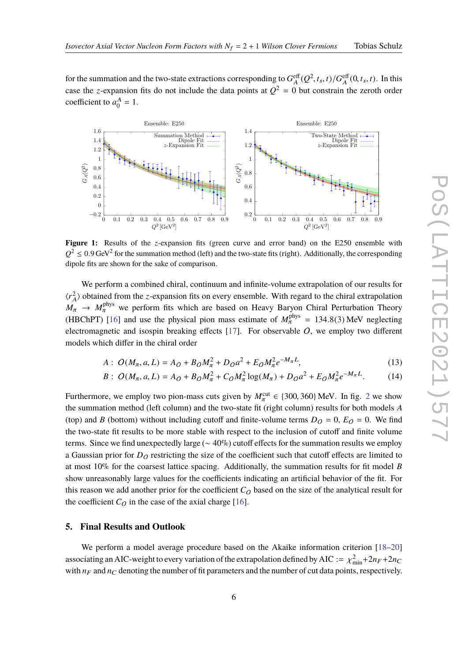for the summation and the two-state extractions corresponding to  $G_4^{\text{eff}}$  $\frac{f_{A}^{eff}(Q^{2},t_{s},t)/G_{A}^{eff}}{2h^{2}}$  $A_{A}^{\text{eff}}(0, t_s, t)$ . In this case the *z*-expansion fits do not include the data points at  $Q^2 = 0$  but constrain the zeroth order coefficient to  $a_0^A = 1$ .

<span id="page-5-0"></span>

**Figure 1:** Results of the *z*-expansion fits (green curve and error band) on the E250 ensemble with  $Q^2 \le 0.9$  GeV<sup>2</sup> for the summation method (left) and the two-state fits (right). Additionally, the corresponding dingle fits are shown for the sales of comparison dipole fits are shown for the sake of comparison.

We perform a combined chiral, continuum and infinite-volume extrapolation of our results for  $\langle r_A^2$  $\frac{2}{A}$  obtained from the *z*-expansion fits on every ensemble. With regard to the chiral extrapolation  $M_{\pi} \rightarrow M_{\pi}^{\text{phys}}$  we perform fits which are based on Heavy Baryon Chiral Perturbation Theory (HBChPT) [\[16\]](#page-8-12) and use the physical pion mass estimate of  $M_{\pi}^{\text{phys}} = 134.8(3)$  MeV neglecting<br>electromographic and isospin bracking effects [17]. For absentable  $Q$  we apply two different electromagnetic and isospin breaking effects  $[17]$ . For observable  $O$ , we employ two different models which differ in the chiral order

$$
A: O(M_{\pi}, a, L) = A_O + B_O M_{\pi}^2 + D_O a^2 + E_O M_{\pi}^2 e^{-M_{\pi}L},
$$
\n(13)

$$
B: O(M_{\pi}, a, L) = A_O + B_O M_{\pi}^2 + C_O M_{\pi}^2 \log(M_{\pi}) + D_O a^2 + E_O M_{\pi}^2 e^{-M_{\pi}L}.
$$
 (14)

Furthermore, we employ two pion-mass cuts given by  $M_{\pi}^{\text{cut}} \in \{300, 360\}$  MeV. In fig. [2](#page-6-0) we show the summation method (left column) and the two-state fit (right column) results for both models *A* (top) and *B* (bottom) without including cutoff and finite-volume terms  $D<sub>O</sub> = 0$ ,  $E<sub>O</sub> = 0$ . We find the two-state fit results to be more stable with respect to the inclusion of cutoff and finite volume terms. Since we find unexpectedly large ( $\sim 40\%$ ) cutoff effects for the summation results we employ a Gaussian prior for  $D<sub>O</sub>$  restricting the size of the coefficient such that cutoff effects are limited to at most 10% for the coarsest lattice spacing. Additionally, the summation results for fit model *B* show unreasonably large values for the coefficients indicating an artificial behavior of the fit. For this reason we add another prior for the coefficient  $C<sub>O</sub>$  based on the size of the analytical result for the coefficient  $C_Q$  in the case of the axial charge [\[16\]](#page-8-12).

### **5. Final Results and Outlook**

We perform a model average procedure based on the Akaike information criterion [\[18](#page-9-0)[–20\]](#page-9-1) associating an AIC-weight to every variation of the extrapolation defined by AIC :=  $\chi^2_{min} + 2n_F + 2n_C$ with  $n_F$  and  $n_C$  denoting the number of fit parameters and the number of cut data points, respectively.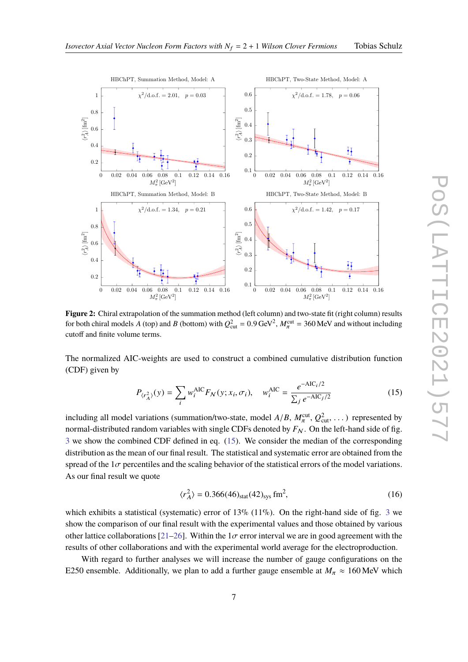

<span id="page-6-0"></span>

**Figure 2:** Chiral extrapolation of the summation method (left column) and two-state fit (right column) results for both chiral models *A* (top) and *B* (bottom) with  $Q_{\text{cut}}^2 = 0.9 \,\text{GeV}^2$ ,  $M_{\pi}^{\text{cut}} = 360 \,\text{MeV}$  and without including cutoff and finite volume terms.

The normalized AIC-weights are used to construct a combined cumulative distribution function (CDF) given by

$$
P_{\langle r_A^2 \rangle}(y) = \sum_{i} w_i^{\text{AIC}} F_N(y; x_i, \sigma_i), \quad w_i^{\text{AIC}} = \frac{e^{-\text{AIC}_i/2}}{\sum_j e^{-\text{AIC}_j/2}}
$$
(15)

including all model variations (summation/two-state, model  $A/B$ ,  $M_{\pi}^{\text{cut}}, Q_{\text{cut}}^2, \ldots$ ) represented by<br>narmal distributed random variables with single CDEs denoted by  $F_{\text{cut}}$ . On the left hand side of fig. normal-distributed random variables with single CDFs denoted by  $F_N$ . On the left-hand side of fig. [3](#page-7-2) we show the combined CDF defined in eq. [\(15\)](#page-6-1). We consider the median of the corresponding distribution as the mean of our final result. The statistical and systematic error are obtained from the spread of the  $1\sigma$  percentiles and the scaling behavior of the statistical errors of the model variations. As our final result we quote

<span id="page-6-1"></span>
$$
\langle r_A^2 \rangle = 0.366(46)_{\text{stat}}(42)_{\text{sys}} \text{ fm}^2,\tag{16}
$$

which exhibits a statistical (systematic) error of 1[3](#page-7-2)% (11%). On the right-hand side of fig. 3 we show the comparison of our final result with the experimental values and those obtained by various other lattice collaborations [\[21](#page-9-2)[–26\]](#page-9-3). Within the 1 $\sigma$  error interval we are in good agreement with the results of other collaborations and with the experimental world average for the electroproduction.

With regard to further analyses we will increase the number of gauge configurations on the E250 ensemble. Additionally, we plan to add a further gauge ensemble at  $M_\pi \approx 160 \text{ MeV}$  which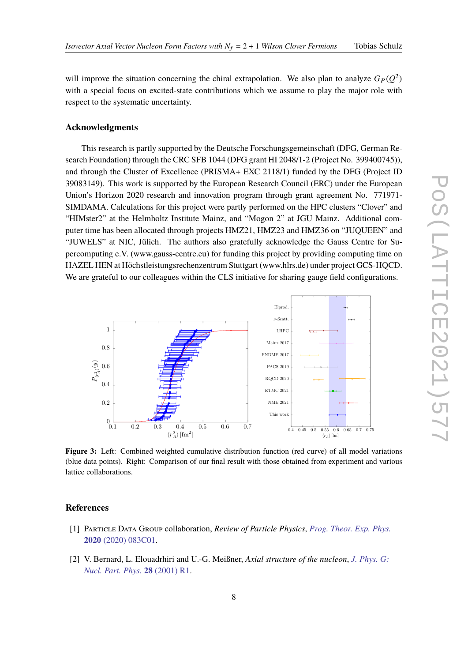will improve the situation concerning the chiral extrapolation. We also plan to analyze  $G_P(Q^2)$ with a special focus on excited-state contributions which we assume to play the major role with respect to the systematic uncertainty.

### **Acknowledgments**

This research is partly supported by the Deutsche Forschungsgemeinschaft (DFG, German Research Foundation) through the CRC SFB 1044 (DFG grant HI 2048/1-2 (Project No. 399400745)), and through the Cluster of Excellence (PRISMA+ EXC 2118/1) funded by the DFG (Project ID 39083149). This work is supported by the European Research Council (ERC) under the European Union's Horizon 2020 research and innovation program through grant agreement No. 771971- SIMDAMA. Calculations for this project were partly performed on the HPC clusters "Clover" and "HIMster2" at the Helmholtz Institute Mainz, and "Mogon 2" at JGU Mainz. Additional computer time has been allocated through projects HMZ21, HMZ23 and HMZ36 on "JUQUEEN" and "JUWELS" at NIC, Jülich. The authors also gratefully acknowledge the Gauss Centre for Supercomputing e.V. (www.gauss-centre.eu) for funding this project by providing computing time on HAZEL HEN at Höchstleistungsrechenzentrum Stuttgart (www.hlrs.de) under project GCS-HQCD. We are grateful to our colleagues within the CLS initiative for sharing gauge field configurations.

<span id="page-7-2"></span>

Figure 3: Left: Combined weighted cumulative distribution function (red curve) of all model variations (blue data points). Right: Comparison of our final result with those obtained from experiment and various lattice collaborations.

### **References**

- <span id="page-7-0"></span>[1] Particle Data Group collaboration, *Review of Particle Physics*, *[Prog. Theor. Exp. Phys.](https://doi.org/10.1093/ptep/ptaa104)* **2020** [\(2020\) 083C01.](https://doi.org/10.1093/ptep/ptaa104)
- <span id="page-7-1"></span>[2] V. Bernard, L. Elouadrhiri and U.-G. Meißner, *Axial structure of the nucleon*, *[J. Phys. G:](https://doi.org/10.1088/0954-3899/28/1/201) [Nucl. Part. Phys.](https://doi.org/10.1088/0954-3899/28/1/201)* **28** (2001) R1.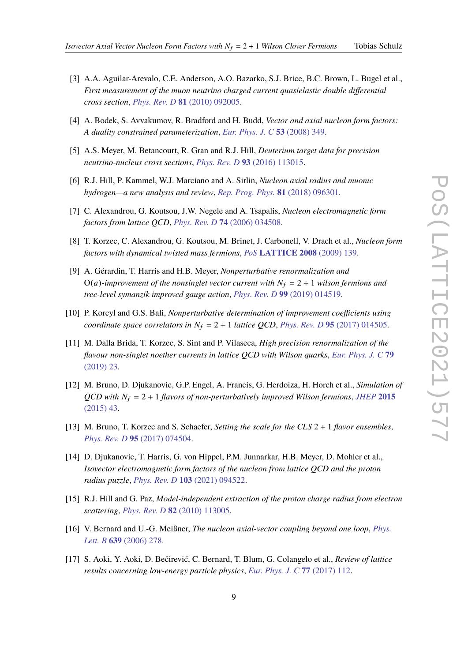- <span id="page-8-0"></span>[3] A.A. Aguilar-Arevalo, C.E. Anderson, A.O. Bazarko, S.J. Brice, B.C. Brown, L. Bugel et al., *First measurement of the muon neutrino charged current quasielastic double differential cross section*, *[Phys. Rev. D](https://doi.org/10.1103/PhysRevD.81.092005)* **81** (2010) 092005.
- <span id="page-8-1"></span>[4] A. Bodek, S. Avvakumov, R. Bradford and H. Budd, *Vector and axial nucleon form factors: A duality constrained parameterization*, *[Eur. Phys. J. C](https://doi.org/10.1140/epjc/s10052-007-0491-4)* **53** (2008) 349.
- [5] A.S. Meyer, M. Betancourt, R. Gran and R.J. Hill, *Deuterium target data for precision neutrino-nucleus cross sections*, *[Phys. Rev. D](https://doi.org/10.1103/PhysRevD.93.113015)* **93** (2016) 113015.
- <span id="page-8-2"></span>[6] R.J. Hill, P. Kammel, W.J. Marciano and A. Sirlin, *Nucleon axial radius and muonic hydrogen—a new analysis and review*, *[Rep. Prog. Phys.](https://doi.org/10.1088/1361-6633/aac190)* **81** (2018) 096301.
- <span id="page-8-3"></span>[7] C. Alexandrou, G. Koutsou, J.W. Negele and A. Tsapalis, *Nucleon electromagnetic form factors from lattice QCD*, *[Phys. Rev. D](https://doi.org/10.1103/PhysRevD.74.034508)* **74** (2006) 034508.
- <span id="page-8-4"></span>[8] T. Korzec, C. Alexandrou, G. Koutsou, M. Brinet, J. Carbonell, V. Drach et al., *Nucleon form factors with dynamical twisted mass fermions*, *PoS* **[LATTICE 2008](https://doi.org/10.22323/1.066.0139)** (2009) 139.
- <span id="page-8-5"></span>[9] A. Gérardin, T. Harris and H.B. Meyer, *Nonperturbative renormalization and* O(*a*)-improvement of the nonsinglet vector current with  $N_f = 2 + 1$  wilson fermions and *tree-level symanzik improved gauge action*, *[Phys. Rev. D](https://doi.org/10.1103/PhysRevD.99.014519)* **99** (2019) 014519.
- <span id="page-8-6"></span>[10] P. Korcyl and G.S. Bali, *Nonperturbative determination of improvement coefficients using coordinate space correlators in*  $N_f = 2 + 1$  *lattice QCD, [Phys. Rev. D](https://doi.org/10.1103/PhysRevD.95.014505)* 95 (2017) 014505.
- <span id="page-8-7"></span>[11] M. Dalla Brida, T. Korzec, S. Sint and P. Vilaseca, *High precision renormalization of the flavour non-singlet noether currents in lattice QCD with Wilson quarks*, *[Eur. Phys. J. C](https://doi.org/10.1140/epjc/s10052-018-6514-5)* **79** [\(2019\) 23.](https://doi.org/10.1140/epjc/s10052-018-6514-5)
- <span id="page-8-8"></span>[12] M. Bruno, D. Djukanovic, G.P. Engel, A. Francis, G. Herdoiza, H. Horch et al., *Simulation of QCD with N*<sup>f</sup> = 2 + 1 *flavors of non-perturbatively improved Wilson fermions*, *[JHEP](https://doi.org/10.1007/JHEP02(2015)043)* **2015** [\(2015\) 43.](https://doi.org/10.1007/JHEP02(2015)043)
- <span id="page-8-9"></span>[13] M. Bruno, T. Korzec and S. Schaefer, *Setting the scale for the CLS* 2 + 1 *flavor ensembles*, *[Phys. Rev. D](https://doi.org/10.1103/PhysRevD.95.074504)* **95** (2017) 074504.
- <span id="page-8-10"></span>[14] D. Djukanovic, T. Harris, G. von Hippel, P.M. Junnarkar, H.B. Meyer, D. Mohler et al., *Isovector electromagnetic form factors of the nucleon from lattice QCD and the proton radius puzzle*, *[Phys. Rev. D](https://doi.org/10.1103/PhysRevD.103.094522)* **103** (2021) 094522.
- <span id="page-8-11"></span>[15] R.J. Hill and G. Paz, *Model-independent extraction of the proton charge radius from electron scattering*, *[Phys. Rev. D](https://doi.org/10.1103/PhysRevD.82.113005)* **82** (2010) 113005.
- <span id="page-8-12"></span>[16] V. Bernard and U.-G. Meißner, *The nucleon axial-vector coupling beyond one loop*, *[Phys.](https://doi.org/https://doi.org/10.1016/j.physletb.2006.06.018) Lett. B* **639** [\(2006\) 278.](https://doi.org/https://doi.org/10.1016/j.physletb.2006.06.018)
- <span id="page-8-13"></span>[17] S. Aoki, Y. Aoki, D. Bečirević, C. Bernard, T. Blum, G. Colangelo et al., *Review of lattice results concerning low-energy particle physics*, *[Eur. Phys. J. C](https://doi.org/10.1140/epjc/s10052-016-4509-7)* **77** (2017) 112.